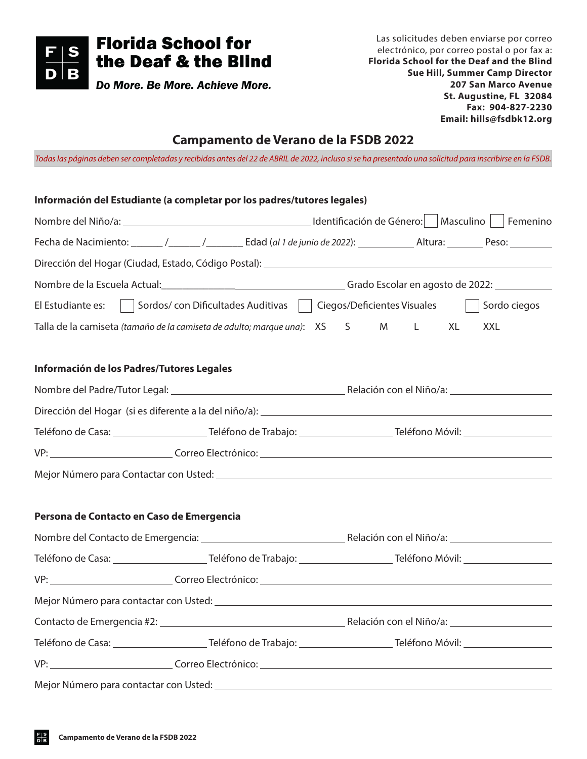

# **Campamento de Verano de la FSDB 2022**

*Todas las páginas deben ser completadas y recibidas antes del 22 de ABRIL de 2022, incluso si se ha presentado una solicitud para inscribirse en la FSDB.*

| Información del Estudiante (a completar por los padres/tutores legales)                                |  |  |    |              |
|--------------------------------------------------------------------------------------------------------|--|--|----|--------------|
|                                                                                                        |  |  |    |              |
|                                                                                                        |  |  |    |              |
|                                                                                                        |  |  |    |              |
| Nombre de la Escuela Actual:<br>Crado Escolar en agosto de 2022:                                       |  |  |    |              |
| El Estudiante es:   Sordos/con Dificultades Auditivas   Ciegos/Deficientes Visuales                    |  |  |    | Sordo ciegos |
| Talla de la camiseta (tamaño de la camiseta de adulto; marque una): XS S M L                           |  |  | XL | <b>XXL</b>   |
| Información de los Padres/Tutores Legales                                                              |  |  |    |              |
| Nombre del Padre/Tutor Legal: 1988) [2010] Relación con el Niño/a: 1988 [2010] Relación con el Niño/a: |  |  |    |              |
|                                                                                                        |  |  |    |              |
|                                                                                                        |  |  |    |              |
|                                                                                                        |  |  |    |              |
|                                                                                                        |  |  |    |              |
| Persona de Contacto en Caso de Emergencia                                                              |  |  |    |              |
|                                                                                                        |  |  |    |              |
|                                                                                                        |  |  |    |              |
|                                                                                                        |  |  |    |              |
|                                                                                                        |  |  |    |              |
|                                                                                                        |  |  |    |              |
|                                                                                                        |  |  |    |              |
|                                                                                                        |  |  |    |              |
|                                                                                                        |  |  |    |              |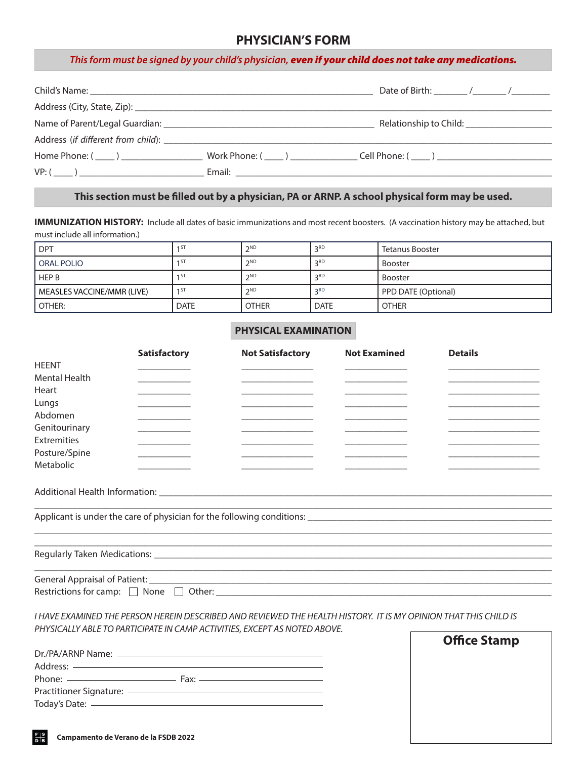## **PHYSICIAN'S FORM**

#### *This form must be signed by your child's physician, even if your child does not take any medications.*

|                                                                                                                                                                                                                                | Relationship to Child: ______________________           |
|--------------------------------------------------------------------------------------------------------------------------------------------------------------------------------------------------------------------------------|---------------------------------------------------------|
| Address (if different from child): Notified to the state of the state of the state of the state of the state of the state of the state of the state of the state of the state of the state of the state of the state of the st |                                                         |
|                                                                                                                                                                                                                                | Home Phone: ( ) ( ) Work Phone: ( ) ( ) Cell Phone: ( ) |
| $VP: ($ )                                                                                                                                                                                                                      |                                                         |

### **This section must be filled out by a physician, PA or ARNP. A school physical form may be used.**

**IMMUNIZATION HISTORY:** Include all dates of basic immunizations and most recent boosters. (A vaccination history may be attached, but must include all information.)

| <b>DPT</b>                 |                 | <b>つND</b>   | 2RD         | Tetanus Booster     |
|----------------------------|-----------------|--------------|-------------|---------------------|
| <b>ORAL POLIO</b>          | 151             | <b>つND</b>   | 2RD         | <b>Booster</b>      |
| <b>HEP B</b>               | 1 S I           | <b>つND</b>   | 2RD         | <b>Booster</b>      |
| MEASLES VACCINE/MMR (LIVE) | 1 <sub>51</sub> | <b>CND</b>   | 2RD         | PPD DATE (Optional) |
| OTHER:                     | <b>DATE</b>     | <b>OTHER</b> | <b>DATE</b> | <b>OTHER</b>        |

#### **PHYSICAL EXAMINATION**

|                                           | <b>Satisfactory</b> | <b>Not Satisfactory</b> | <b>Not Examined</b> | <b>Details</b> |
|-------------------------------------------|---------------------|-------------------------|---------------------|----------------|
| <b>HEENT</b>                              |                     |                         |                     |                |
| <b>Mental Health</b>                      |                     |                         |                     |                |
| Heart                                     |                     |                         |                     |                |
| Lungs                                     |                     |                         |                     |                |
| Abdomen                                   |                     |                         |                     |                |
| Genitourinary                             |                     |                         |                     |                |
| Extremities                               |                     |                         |                     |                |
| Posture/Spine                             |                     |                         |                     |                |
| Metabolic                                 |                     |                         |                     |                |
|                                           |                     |                         |                     |                |
|                                           |                     |                         |                     |                |
|                                           |                     |                         |                     |                |
|                                           |                     |                         |                     |                |
|                                           |                     |                         |                     |                |
|                                           |                     |                         |                     |                |
| Restrictions for camp: $\Box$ None $\Box$ |                     |                         |                     |                |
|                                           |                     |                         |                     |                |

*I HAVE EXAMINED THE PERSON HEREIN DESCRIBED AND REVIEWED THE HEALTH HISTORY. IT IS MY OPINION THAT THIS CHILD IS PHYSICALLY ABLE TO PARTICIPATE IN CAMP ACTIVITIES, EXCEPT AS NOTED ABOVE.* 

| Dr./PA/ARNP Name:                            |  |
|----------------------------------------------|--|
|                                              |  |
|                                              |  |
| Practitioner Signature: ———————————————————— |  |
|                                              |  |

| <b>Office Stamp</b> |  |
|---------------------|--|
|                     |  |
|                     |  |
|                     |  |
|                     |  |
|                     |  |
|                     |  |
|                     |  |
|                     |  |
|                     |  |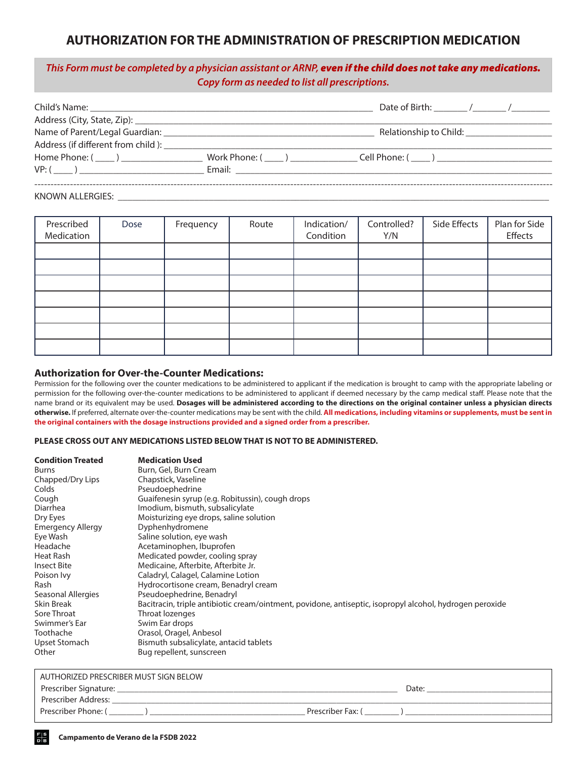## **AUTHORIZATION FOR THE ADMINISTRATION OF PRESCRIPTION MEDICATION**

## *This Form must be completed by a physician assistant or ARNP, even if the child does not take any medications. Copy form as needed to list all prescriptions.*

|                      | Relationship to Child: Nellationship |
|----------------------|--------------------------------------|
|                      |                                      |
| Home Phone: $(\_\_)$ |                                      |
|                      |                                      |
|                      |                                      |
|                      |                                      |

KNOWN ALLERGIES:

| Prescribed<br>Medication | Dose | Frequency | Route | Indication/<br>Condition | Controlled?<br>Y/N | Side Effects | Plan for Side<br>Effects |
|--------------------------|------|-----------|-------|--------------------------|--------------------|--------------|--------------------------|
|                          |      |           |       |                          |                    |              |                          |
|                          |      |           |       |                          |                    |              |                          |
|                          |      |           |       |                          |                    |              |                          |
|                          |      |           |       |                          |                    |              |                          |
|                          |      |           |       |                          |                    |              |                          |
|                          |      |           |       |                          |                    |              |                          |
|                          |      |           |       |                          |                    |              |                          |

#### **Authorization for Over-the-Counter Medications:**

Permission for the following over the counter medications to be administered to applicant if the medication is brought to camp with the appropriate labeling or permission for the following over-the-counter medications to be administered to applicant if deemed necessary by the camp medical staff. Please note that the name brand or its equivalent may be used. **Dosages will be administered according to the directions on the original container unless a physician directs otherwise.** If preferred, alternate over-the-counter medications may be sent with the child. **All medications, including vitamins or supplements, must be sent in the original containers with the dosage instructions provided and a signed order from a prescriber.**

#### **PLEASE CROSS OUT ANY MEDICATIONS LISTED BELOW THAT IS NOT TO BE ADMINISTERED.**

| <b>Condition Treated</b> | <b>Medication Used</b>                                                                                   |
|--------------------------|----------------------------------------------------------------------------------------------------------|
| Burns                    | Burn, Gel, Burn Cream                                                                                    |
| Chapped/Dry Lips         | Chapstick, Vaseline                                                                                      |
| Colds                    | Pseudoephedrine                                                                                          |
| Cough                    | Guaifenesin syrup (e.g. Robitussin), cough drops                                                         |
| Diarrhea                 | Imodium, bismuth, subsalicylate                                                                          |
| Dry Eyes                 | Moisturizing eye drops, saline solution                                                                  |
| <b>Emergency Allergy</b> | Dyphenhydromene                                                                                          |
| Eye Wash                 | Saline solution, eye wash                                                                                |
| Headache                 | Acetaminophen, Ibuprofen                                                                                 |
| Heat Rash                | Medicated powder, cooling spray                                                                          |
| <b>Insect Bite</b>       | Medicaine, Afterbite, Afterbite Jr.                                                                      |
| Poison Ivy               | Caladryl, Calagel, Calamine Lotion                                                                       |
| Rash                     | Hydrocortisone cream, Benadryl cream                                                                     |
| Seasonal Allergies       | Pseudoephedrine, Benadryl                                                                                |
| Skin Break               | Bacitracin, triple antibiotic cream/ointment, povidone, antiseptic, isopropyl alcohol, hydrogen peroxide |
| Sore Throat              | Throat lozenges                                                                                          |
| Swimmer's Ear            | Swim Ear drops                                                                                           |
| Toothache                | Orasol, Oragel, Anbesol                                                                                  |
| Upset Stomach            | Bismuth subsalicylate, antacid tablets                                                                   |
| Other                    | Bug repellent, sunscreen                                                                                 |

| AUTHORIZED PRESCRIBER MUST SIGN BELOW |                   |
|---------------------------------------|-------------------|
| Prescriber Signature:                 | Date:             |
| Prescriber Address:                   |                   |
| Prescriber Phone: (                   | Prescriber Fax: ( |
|                                       |                   |

l,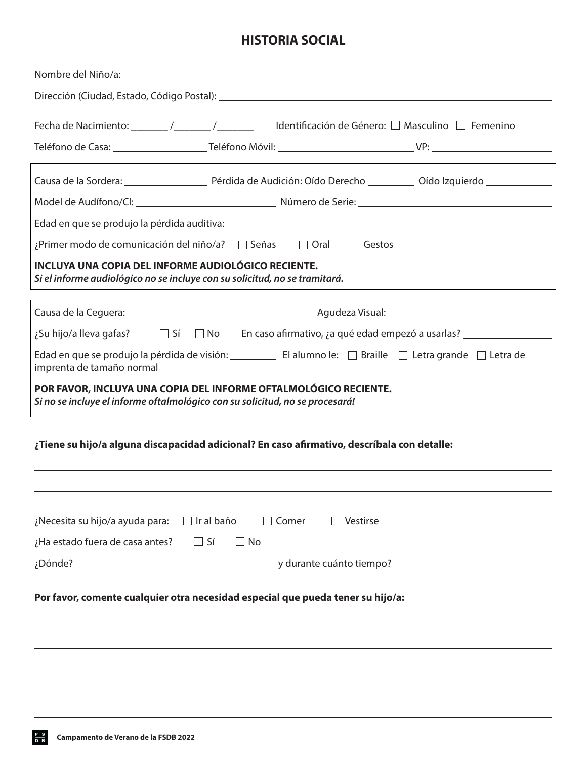# **HISTORIA SOCIAL**

| Fecha de Nacimiento: _______ /_______ /________ ldentificación de Género: □ Masculino □ Femenino                                                 |
|--------------------------------------------------------------------------------------------------------------------------------------------------|
| the control of the control of the control of                                                                                                     |
|                                                                                                                                                  |
|                                                                                                                                                  |
|                                                                                                                                                  |
| ¿Primer modo de comunicación del niño/a? □ Señas □ Oral<br>$\Box$ Gestos                                                                         |
| INCLUYA UNA COPIA DEL INFORME AUDIOLÓGICO RECIENTE.<br>Si el informe audiológico no se incluye con su solicitud, no se tramitará.                |
|                                                                                                                                                  |
| ¿Su hijo/a lleva gafas? □ Sí □ No En caso afirmativo, ¿a qué edad empezó a usarlas? _______________                                              |
| imprenta de tamaño normal                                                                                                                        |
| POR FAVOR, INCLUYA UNA COPIA DEL INFORME OFTALMOLÓGICO RECIENTE.<br>Si no se incluye el informe oftalmológico con su solicitud, no se procesará! |
| ¿Tiene su hijo/a alguna discapacidad adicional? En caso afirmativo, descríbala con detalle:                                                      |
| $\Box$ Ir al baño<br>¿Necesita su hijo/a ayuda para:<br>Comer<br>Vestirse                                                                        |
| <i>i</i> Ha estado fuera de casa antes? $\Box$ Sí<br>$\Box$ No                                                                                   |
|                                                                                                                                                  |
| Por favor, comente cualquier otra necesidad especial que pueda tener su hijo/a:                                                                  |
|                                                                                                                                                  |